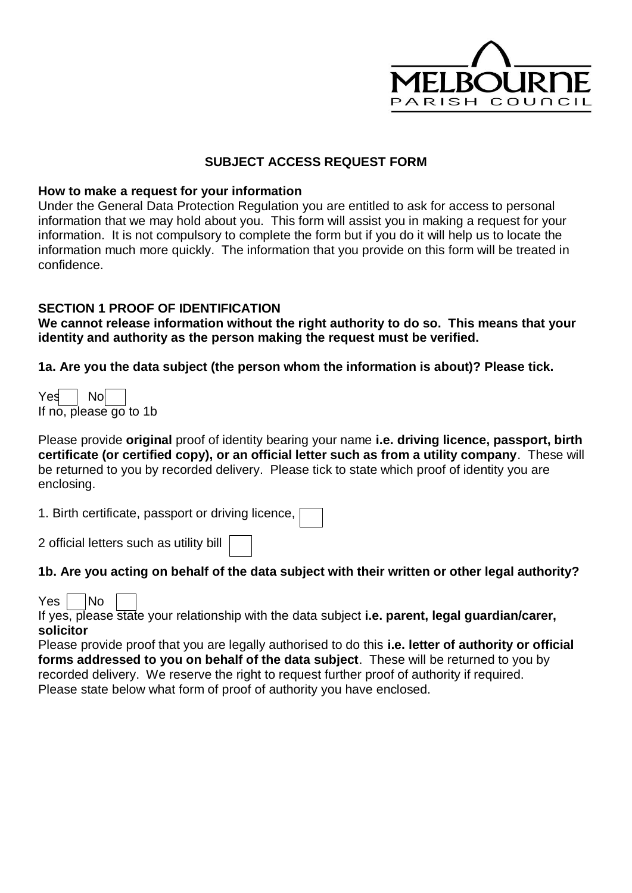

### **SUBJECT ACCESS REQUEST FORM**

#### **How to make a request for your information**

Under the General Data Protection Regulation you are entitled to ask for access to personal information that we may hold about you. This form will assist you in making a request for your information. It is not compulsory to complete the form but if you do it will help us to locate the information much more quickly. The information that you provide on this form will be treated in confidence.

#### **SECTION 1 PROOF OF IDENTIFICATION**

**We cannot release information without the right authority to do so. This means that your identity and authority as the person making the request must be verified.**

**1a. Are you the data subject (the person whom the information is about)? Please tick.** 

| Yes                    | Nol |  |  |
|------------------------|-----|--|--|
| If no, please go to 1b |     |  |  |

Please provide **original** proof of identity bearing your name **i.e. driving licence, passport, birth certificate (or certified copy), or an official letter such as from a utility company**. These will be returned to you by recorded delivery. Please tick to state which proof of identity you are enclosing.

1. Birth certificate, passport or driving licence,

2 official letters such as utility bill

#### **1b. Are you acting on behalf of the data subject with their written or other legal authority?**

#### $Yes \mid No$

If yes, please state your relationship with the data subject **i.e. parent, legal guardian/carer, solicitor**

Please provide proof that you are legally authorised to do this **i.e. letter of authority or official forms addressed to you on behalf of the data subject**. These will be returned to you by recorded delivery. We reserve the right to request further proof of authority if required. Please state below what form of proof of authority you have enclosed.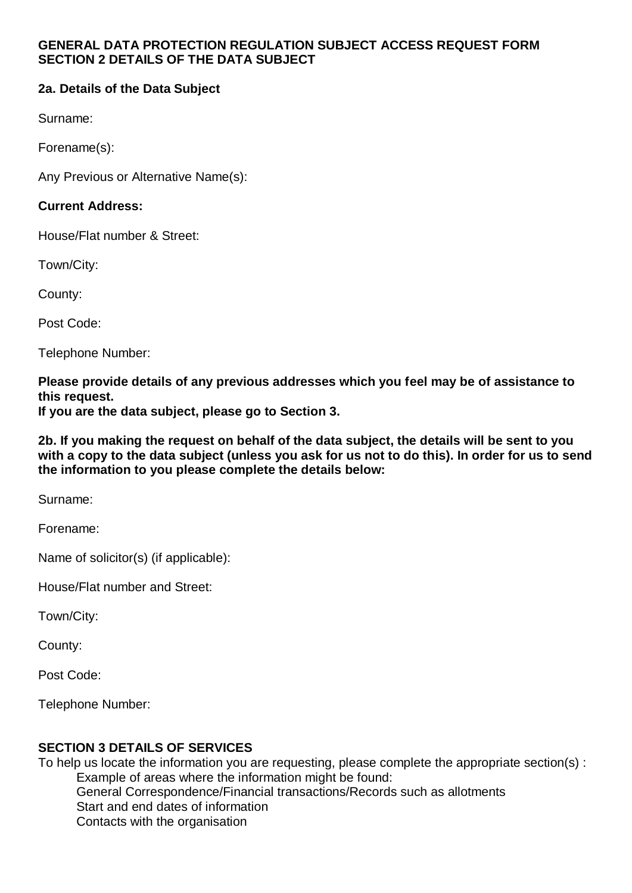### **GENERAL DATA PROTECTION REGULATION SUBJECT ACCESS REQUEST FORM SECTION 2 DETAILS OF THE DATA SUBJECT**

# **2a. Details of the Data Subject**

Surname:

Forename(s):

Any Previous or Alternative Name(s):

## **Current Address:**

House/Flat number & Street:

Town/City:

County:

Post Code:

Telephone Number:

**Please provide details of any previous addresses which you feel may be of assistance to this request.**

**If you are the data subject, please go to Section 3.**

**2b. If you making the request on behalf of the data subject, the details will be sent to you with a copy to the data subject (unless you ask for us not to do this). In order for us to send the information to you please complete the details below:**

Surname:

Forename:

Name of solicitor(s) (if applicable):

House/Flat number and Street:

Town/City:

County:

Post Code:

Telephone Number:

## **SECTION 3 DETAILS OF SERVICES**

To help us locate the information you are requesting, please complete the appropriate section(s) : Example of areas where the information might be found: General Correspondence/Financial transactions/Records such as allotments Start and end dates of information Contacts with the organisation